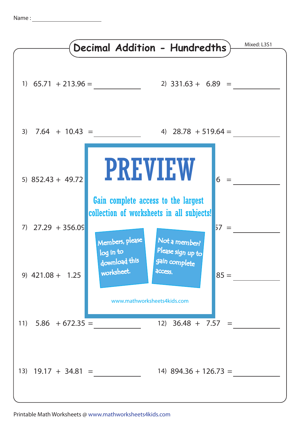